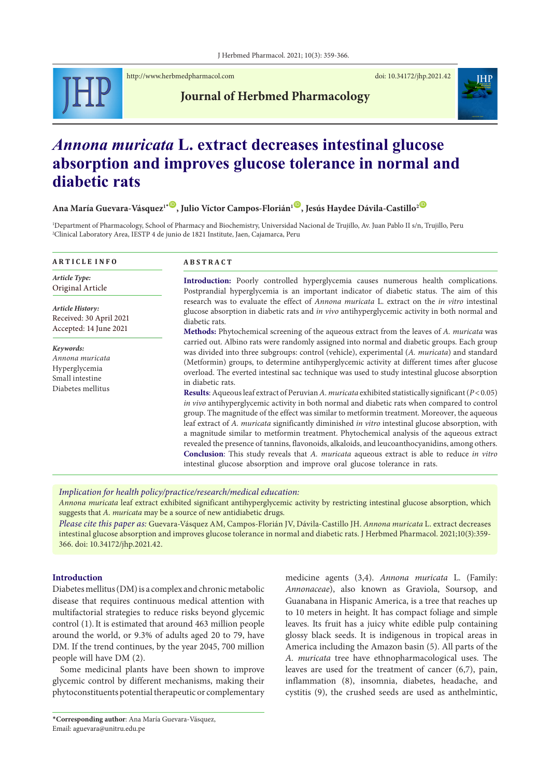

<http://www.herbmedpharmacol.com> doi: [10.34172/jhp.2021.42](https://doi.org/10.34172/jhp.2021.42)

**Journal of Herbmed Pharmacology**

# *Annona muricata* **L. extract decreases intestinal glucose absorption and improves glucose tolerance in normal and diabetic rats**

# **Ana María Guevara-Vásquez<sup>1</sup><sup>.</sub> O</sup>, Julio Víctor Campos-Florián<sup>1</sup> O, Jesús Haydee Dávila-Castillo<sup>2 O</sup>**

1 Department of Pharmacology, School of Pharmacy and Biochemistry, Universidad Nacional de Trujillo, Av. Juan Pablo II s/n, Trujillo, Peru 2 Clinical Laboratory Area, IESTP 4 de junio de 1821 Institute, Jaen, Cajamarca, Peru

| <b>ARTICLE INFO</b>                                                                   | <b>ABSTRACT</b>                                                                                                                                                                                                                                                                                                                                                                                                                                                                                                                                                                                                                                                                                                                                                                                                                                                                                                                                                                                                                                                                                                                                                                                                              |  |  |
|---------------------------------------------------------------------------------------|------------------------------------------------------------------------------------------------------------------------------------------------------------------------------------------------------------------------------------------------------------------------------------------------------------------------------------------------------------------------------------------------------------------------------------------------------------------------------------------------------------------------------------------------------------------------------------------------------------------------------------------------------------------------------------------------------------------------------------------------------------------------------------------------------------------------------------------------------------------------------------------------------------------------------------------------------------------------------------------------------------------------------------------------------------------------------------------------------------------------------------------------------------------------------------------------------------------------------|--|--|
| Article Type:<br>Original Article                                                     | Introduction: Poorly controlled hyperglycemia causes numerous health complications.<br>Postprandial hyperglycemia is an important indicator of diabetic status. The aim of this                                                                                                                                                                                                                                                                                                                                                                                                                                                                                                                                                                                                                                                                                                                                                                                                                                                                                                                                                                                                                                              |  |  |
| Article History:<br>Received: 30 April 2021<br>Accepted: 14 June 2021                 | research was to evaluate the effect of <i>Annona muricata</i> L. extract on the <i>in vitro</i> intestinal<br>glucose absorption in diabetic rats and in vivo antihyperglycemic activity in both normal and<br>diabetic rats.<br>Methods: Phytochemical screening of the aqueous extract from the leaves of A. muricata was                                                                                                                                                                                                                                                                                                                                                                                                                                                                                                                                                                                                                                                                                                                                                                                                                                                                                                  |  |  |
| Keywords:<br>Annona muricata<br>Hyperglycemia<br>Small intestine<br>Diabetes mellitus | carried out. Albino rats were randomly assigned into normal and diabetic groups. Each group<br>was divided into three subgroups: control (vehicle), experimental (A. muricata) and standard<br>(Metformin) groups, to determine antihyperglycemic activity at different times after glucose<br>overload. The everted intestinal sac technique was used to study intestinal glucose absorption<br>in diabetic rats.<br><b>Results:</b> Aqueous leaf extract of Peruvian A. muricata exhibited statistically significant ( $P < 0.05$ )<br><i>in vivo</i> antihyperglycemic activity in both normal and diabetic rats when compared to control<br>group. The magnitude of the effect was similar to metformin treatment. Moreover, the aqueous<br>leaf extract of A. muricata significantly diminished in vitro intestinal glucose absorption, with<br>a magnitude similar to metformin treatment. Phytochemical analysis of the aqueous extract<br>revealed the presence of tannins, flavonoids, alkaloids, and leucoanthocyanidins, among others.<br>Conclusion: This study reveals that A. muricata aqueous extract is able to reduce in vitro<br>intestinal glucose absorption and improve oral glucose tolerance in rats. |  |  |

*Implication for health policy/practice/research/medical education:*

*Annona muricata* leaf extract exhibited significant antihyperglycemic activity by restricting intestinal glucose absorption, which suggests that *A. muricata* may be a source of new antidiabetic drugs.

*Please cite this paper as:* Guevara-Vásquez AM, Campos-Florián JV, Dávila-Castillo JH. *Annona muricata* L. extract decreases intestinal glucose absorption and improves glucose tolerance in normal and diabetic rats. J Herbmed Pharmacol. 2021;10(3):359- 366. doi: 10.34172/jhp.2021.42.

#### **Introduction**

Diabetes mellitus (DM) is a complex and chronic metabolic disease that requires continuous medical attention with multifactorial strategies to reduce risks beyond glycemic control (1).It is estimated that around 463 million people around the world, or 9.3% of adults aged 20 to 79, have DM. If the trend continues, by the year 2045, 700 million people will have DM (2).

Some medicinal plants have been shown to improve glycemic control by different mechanisms, making their phytoconstituents potential therapeutic or complementary

medicine agents (3,4). *Annona muricata* L. (Family: *Annonaceae*), also known as Graviola, Soursop, and Guanabana in Hispanic America, is a tree that reaches up to 10 meters in height. It has compact foliage and simple leaves. Its fruit has a juicy white edible pulp containing glossy black seeds. It is indigenous in tropical areas in America including the Amazon basin (5). All parts of the *A. muricata* tree have ethnopharmacological uses. The leaves are used for the treatment of cancer (6,7), pain, inflammation (8), insomnia, diabetes, headache, and cystitis (9), the crushed seeds are used as anthelmintic,

<sup>\*</sup>**Corresponding author**: Ana María Guevara-Vásquez, Email: aguevara@unitru.edu.pe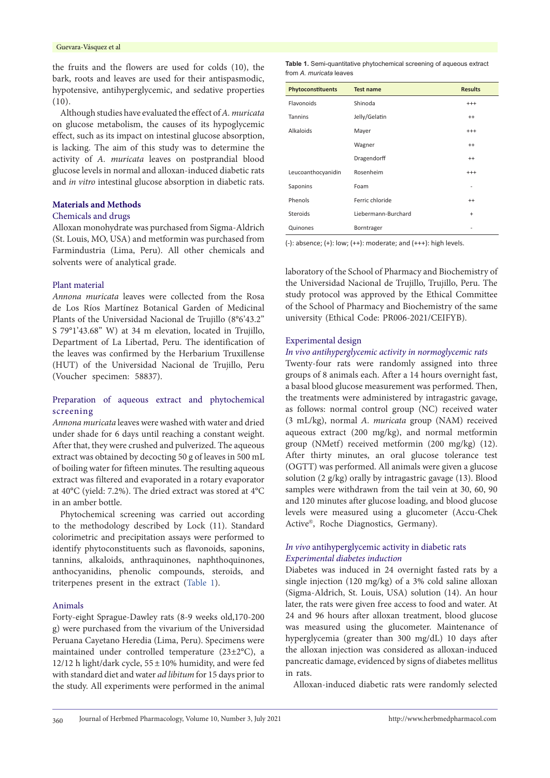the fruits and the flowers are used for colds (10), the bark, roots and leaves are used for their antispasmodic, hypotensive, antihyperglycemic, and sedative properties  $(10).$ 

Although studies have evaluated the effect of *A. muricata* on glucose metabolism, the causes of its hypoglycemic effect, such as its impact on intestinal glucose absorption, is lacking. The aim of this study was to determine the activity of *A. muricata* leaves on postprandial blood glucose levels in normal and alloxan-induced diabetic rats and *in vitro* intestinal glucose absorption in diabetic rats.

### **Materials and Methods**

# Chemicals and drugs

Alloxan monohydrate was purchased from Sigma-Aldrich (St. Louis, MO, USA) and metformin was purchased from Farmindustria (Lima, Peru). All other chemicals and solvents were of analytical grade.

#### Plant material

*Annona muricata* leaves were collected from the Rosa de Los Ríos Martínez Botanical Garden of Medicinal Plants of the Universidad Nacional de Trujillo (8°6'43.2" S 79°1'43.68" W) at 34 m elevation, located in Trujillo, Department of La Libertad, Peru. The identification of the leaves was confirmed by the Herbarium Truxillense (HUT) of the Universidad Nacional de Trujillo, Peru (Voucher specimen: 58837).

# Preparation of aqueous extract and phytochemical screening

*Annona muricata* leaves were washed with water and dried under shade for 6 days until reaching a constant weight. After that, they were crushed and pulverized. The aqueous extract was obtained by decocting 50 g of leaves in 500 mL of boiling water for fifteen minutes. The resulting aqueous extract was filtered and evaporated in a rotary evaporator at 40°C (yield: 7.2%). The dried extract was stored at 4°C in an amber bottle.

Phytochemical screening was carried out according to the methodology described by Lock (11). Standard colorimetric and precipitation assays were performed to identify phytoconstituents such as flavonoids, saponins, tannins, alkaloids, anthraquinones, naphthoquinones, anthocyanidins, phenolic compounds, steroids, and triterpenes present in the extract [\(Table](#page-1-0) 1).

#### Animals

Forty-eight Sprague-Dawley rats (8-9 weeks old,170-200 g) were purchased from the vivarium of the Universidad Peruana Cayetano Heredia (Lima, Peru). Specimens were maintained under controlled temperature (23±2°C), a 12/12 h light/dark cycle,  $55 \pm 10\%$  humidity, and were fed with standard diet and water *ad libitum* for 15 days prior to the study. All experiments were performed in the animal

<span id="page-1-0"></span>**Table 1.** Semi-quantitative phytochemical screening of aqueous extract from *A. muricata* leaves

| Phytoconstituents  | <b>Test name</b>           | <b>Results</b> |
|--------------------|----------------------------|----------------|
| Flavonoids         | Shinoda                    | $^{+++}$       |
| Tannins            | Jelly/Gelatin              | $^{++}$        |
| Alkaloids          | Mayer                      | $^{+++}$       |
|                    | Wagner                     | $^{++}$        |
|                    | Dragendorff                | $^{++}$        |
| Leucoanthocyanidin | Rosenheim                  | $^{+++}$       |
| Saponins           | Foam                       |                |
| Phenols            | Ferric chloride            | $^{++}$        |
| Steroids           | Liebermann-Burchard<br>$+$ |                |
| Quinones           | Borntrager                 |                |

 $(-)$ : absence;  $(+)$ : low;  $(++)$ : moderate; and  $(+++)$ : high levels.

laboratory of the School of Pharmacy and Biochemistry of the Universidad Nacional de Trujillo, Trujillo, Peru. The study protocol was approved by the Ethical Committee of the School of Pharmacy and Biochemistry of the same university (Ethical Code: PR006-2021/CEIFYB).

#### Experimental design

#### *In vivo antihyperglycemic activity in normoglycemic rats*

Twenty-four rats were randomly assigned into three groups of 8 animals each. After a 14 hours overnight fast, a basal blood glucose measurement was performed. Then, the treatments were administered by intragastric gavage, as follows: normal control group (NC) received water (3 mL/kg), normal *A. muricata* group (NAM) received aqueous extract (200 mg/kg), and normal metformin group (NMetf) received metformin (200 mg/kg) (12). After thirty minutes, an oral glucose tolerance test (OGTT) was performed. All animals were given a glucose solution (2 g/kg) orally by intragastric gavage (13). Blood samples were withdrawn from the tail vein at 30, 60, 90 and 120 minutes after glucose loading, and blood glucose levels were measured using a glucometer (Accu-Chek Active®, Roche Diagnostics, Germany).

# *In vivo* antihyperglycemic activity in diabetic rats *Experimental diabetes induction*

Diabetes was induced in 24 overnight fasted rats by a single injection (120 mg/kg) of a 3% cold saline alloxan (Sigma-Aldrich, St. Louis, USA) solution (14). An hour later, the rats were given free access to food and water. At 24 and 96 hours after alloxan treatment, blood glucose was measured using the glucometer. Maintenance of hyperglycemia (greater than 300 mg/dL) 10 days after the alloxan injection was considered as alloxan-induced pancreatic damage, evidenced by signs of diabetes mellitus in rats.

Alloxan-induced diabetic rats were randomly selected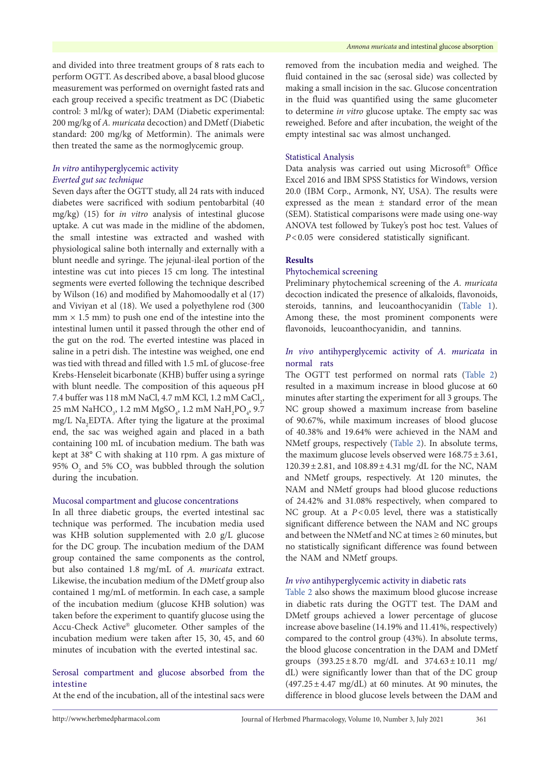and divided into three treatment groups of 8 rats each to perform OGTT. As described above, a basal blood glucose measurement was performed on overnight fasted rats and each group received a specific treatment as DC (Diabetic control: 3 ml/kg of water); DAM (Diabetic experimental: 200 mg/kg of *A. muricata* decoction) and DMetf (Diabetic standard: 200 mg/kg of Metformin). The animals were then treated the same as the normoglycemic group.

# *In vitro* antihyperglycemic activity *Everted gut sac technique*

Seven days after the OGTT study, all 24 rats with induced diabetes were sacrificed with sodium pentobarbital (40 mg/kg) (15) for *in vitro* analysis of intestinal glucose uptake. A cut was made in the midline of the abdomen, the small intestine was extracted and washed with physiological saline both internally and externally with a blunt needle and syringe. The jejunal-ileal portion of the intestine was cut into pieces 15 cm long. The intestinal segments were everted following the technique described by Wilson (16) and modified by Mahomoodally et al (17) and Viviyan et al (18). We used a polyethylene rod (300  $mm \times 1.5 mm$ ) to push one end of the intestine into the intestinal lumen until it passed through the other end of the gut on the rod. The everted intestine was placed in saline in a petri dish. The intestine was weighed, one end was tied with thread and filled with 1.5 mL of glucose-free Krebs-Henseleit bicarbonate (KHB) buffer using a syringe with blunt needle. The composition of this aqueous pH 7.4 buffer was  $118 \text{ mM NaCl}, 4.7 \text{ mM KCl}, 1.2 \text{ mM CaCl}_2$ ,  $25 \text{ mM } \text{NaHCO}_3$ , 1.2 mM  $\text{MgSO}_4$ , 1.2 mM  $\text{NaH}_2\text{PO}_4$ , 9.7 mg/L Na<sub>2</sub>EDTA. After tying the ligature at the proximal end, the sac was weighed again and placed in a bath containing 100 mL of incubation medium. The bath was kept at 38° C with shaking at 110 rpm. A gas mixture of 95%  $O_2$  and 5%  $CO_2$  was bubbled through the solution during the incubation.

### Mucosal compartment and glucose concentrations

In all three diabetic groups, the everted intestinal sac technique was performed. The incubation media used was KHB solution supplemented with 2.0 g/L glucose for the DC group. The incubation medium of the DAM group contained the same components as the control, but also contained 1.8 mg/mL of *A. muricata* extract. Likewise, the incubation medium of the DMetf group also contained 1 mg/mL of metformin. In each case, a sample of the incubation medium (glucose KHB solution) was taken before the experiment to quantify glucose using the Accu-Check Active® glucometer. Other samples of the incubation medium were taken after 15, 30, 45, and 60 minutes of incubation with the everted intestinal sac.

# Serosal compartment and glucose absorbed from the intestine

At the end of the incubation, all of the intestinal sacs were

removed from the incubation media and weighed. The fluid contained in the sac (serosal side) was collected by making a small incision in the sac. Glucose concentration in the fluid was quantified using the same glucometer to determine *in vitro* glucose uptake. The empty sac was reweighed. Before and after incubation, the weight of the empty intestinal sac was almost unchanged.

#### Statistical Analysis

Data analysis was carried out using Microsoft® Office Excel 2016 and IBM SPSS Statistics for Windows, version 20.0 (IBM Corp., Armonk, NY, USA). The results were expressed as the mean ± standard error of the mean (SEM). Statistical comparisons were made using one-way ANOVA test followed by Tukey's post hoc test. Values of *P*<0.05 were considered statistically significant.

# **Results**

### Phytochemical screening

Preliminary phytochemical screening of the *A. muricata* decoction indicated the presence of alkaloids, flavonoids, steroids, tannins, and leucoanthocyanidin ([Table](#page-1-0) 1). Among these, the most prominent components were flavonoids, leucoanthocyanidin, and tannins.

# *In vivo* antihyperglycemic activity of *A. muricata* in normal rats

The OGTT test performed on normal rats ([Table](#page-3-0) 2) resulted in a maximum increase in blood glucose at 60 minutes after starting the experiment for all 3 groups. The NC group showed a maximum increase from baseline of 90.67%, while maximum increases of blood glucose of 40.38% and 19.64% were achieved in the NAM and NMetf groups, respectively ([Table](#page-3-0) 2). In absolute terms, the maximum glucose levels observed were  $168.75 \pm 3.61$ , 120.39±2.81, and 108.89±4.31 mg/dL for the NC, NAM and NMetf groups, respectively. At 120 minutes, the NAM and NMetf groups had blood glucose reductions of 24.42% and 31.08% respectively, when compared to NC group. At a *P*<0.05 level, there was a statistically significant difference between the NAM and NC groups and between the NMetf and NC at times  $\geq 60$  minutes, but no statistically significant difference was found between the NAM and NMetf groups.

# *In vivo* antihyperglycemic activity in diabetic rats

[Table](#page-3-0) 2 also shows the maximum blood glucose increase in diabetic rats during the OGTT test. The DAM and DMetf groups achieved a lower percentage of glucose increase above baseline (14.19% and 11.41%, respectively) compared to the control group (43%). In absolute terms, the blood glucose concentration in the DAM and DMetf groups  $(393.25 \pm 8.70 \text{ mg/dL} \text{ and } 374.63 \pm 10.11 \text{ mg/m}$ dL) were significantly lower than that of the DC group  $(497.25 \pm 4.47 \text{ mg/dL})$  at 60 minutes. At 90 minutes, the difference in blood glucose levels between the DAM and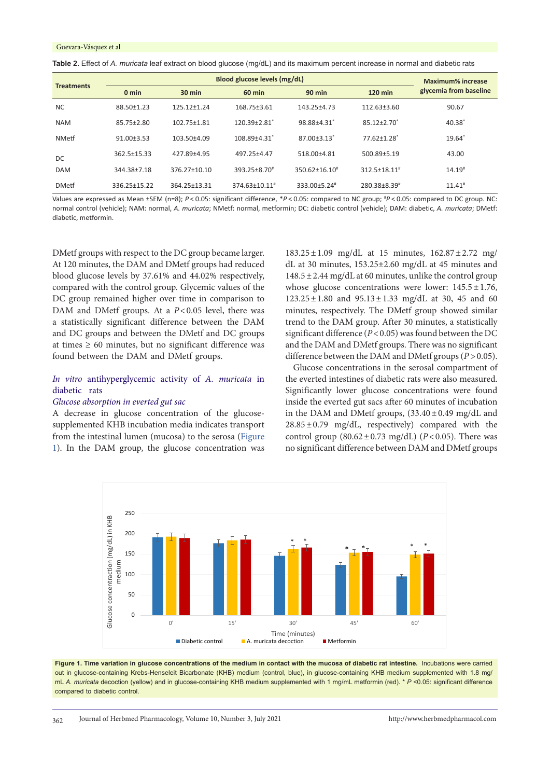<span id="page-3-0"></span>

| <b>Table 2.</b> Effect of <i>A. muricata</i> leaf extract on blood glucose (mg/dL) and its maximum percent increase in normal and diabetic rats |  |
|-------------------------------------------------------------------------------------------------------------------------------------------------|--|
|-------------------------------------------------------------------------------------------------------------------------------------------------|--|

| <b>Treatments</b> | Blood glucose levels (mg/dL) |                  |                                |                               |                               | Maximum% increase      |
|-------------------|------------------------------|------------------|--------------------------------|-------------------------------|-------------------------------|------------------------|
|                   | $0 \text{ min}$              | $30 \text{ min}$ | <b>60 min</b>                  | $90$ min                      | <b>120 min</b>                | glycemia from baseline |
| <b>NC</b>         | 88.50±1.23                   | 125.12+1.24      | 168.75±3.61                    | 143.25±4.73                   | $112.63 \pm 3.60$             | 90.67                  |
| <b>NAM</b>        | 85.75±2.80                   | 102.75±1.81      | $120.39 \pm 2.81$ <sup>*</sup> | 98.88±4.31                    | $85.12 \pm 2.70$ <sup>*</sup> | 40.38                  |
| <b>NMetf</b>      | $91.00 \pm 3.53$             | 103.50±4.09      | 108.89±4.31*                   | $87.00 \pm 3.13$ <sup>*</sup> | $77.62 \pm 1.28$ <sup>*</sup> | 19.64                  |
| DC                | 362.5±15.33                  | 427.89±4.95      | 497.25±4.47                    | 518.00±4.81                   | 500.89±5.19                   | 43.00                  |
| <b>DAM</b>        | 344.38±7.18                  | 376.27±10.10     | 393.25±8.70 <sup>#</sup>       | 350.62±16.10 <sup>#</sup>     | 312.5±18.11#                  | $14.19*$               |
| <b>DMetf</b>      | 336.25±15.22                 | 364.25±13.31     | 374.63±10.11#                  | 333.00±5.24 <sup>#</sup>      | 280.38±8.39#                  | $11.41*$               |

Values are expressed as Mean ±SEM (n=8); *P* < 0.05: significant difference, \**P* < 0.05: compared to NC group; # *P* < 0.05: compared to DC group. NC: normal control (vehicle); NAM: normal, *A. muricata*; NMetf: normal, metformin; DC: diabetic control (vehicle); DAM: diabetic, *A. muricata*; DMetf: diabetic, metformin.

DMetf groups with respect to the DC group became larger. At 120 minutes, the DAM and DMetf groups had reduced blood glucose levels by 37.61% and 44.02% respectively, compared with the control group. Glycemic values of the DC group remained higher over time in comparison to DAM and DMetf groups. At a *P*<0.05 level, there was a statistically significant difference between the DAM and DC groups and between the DMetf and DC groups at times  $\geq 60$  minutes, but no significant difference was found between the DAM and DMetf groups.

# *In vitro* antihyperglycemic activity of *A. muricata* in diabetic rats

#### *Glucose absorption in everted gut sac*

A decrease in glucose concentration of the glucosesupplemented KHB incubation media indicates transport from the intestinal lumen (mucosa) to the serosa ([Figure](#page-3-1) [1](#page-3-1)). In the DAM group, the glucose concentration was

183.25±1.09 mg/dL at 15 minutes, 162.87±2.72 mg/ dL at 30 minutes, 153.25±2.60 mg/dL at 45 minutes and  $148.5 \pm 2.44$  mg/dL at 60 minutes, unlike the control group whose glucose concentrations were lower:  $145.5 \pm 1.76$ , 123.25±1.80 and 95.13±1.33 mg/dL at 30, 45 and 60 minutes, respectively. The DMetf group showed similar trend to the DAM group. After 30 minutes, a statistically significant difference (*P*<0.05) was found between the DC and the DAM and DMetf groups. There was no significant difference between the DAM and DMetf groups ( $P > 0.05$ ).

<span id="page-3-1"></span>Glucose concentrations in the serosal compartment of the everted intestines of diabetic rats were also measured. Significantly lower glucose concentrations were found inside the everted gut sacs after 60 minutes of incubation in the DAM and DMetf groups,  $(33.40 \pm 0.49 \text{ mg/dL} \text{ and }$  $28.85 \pm 0.79$  mg/dL, respectively) compared with the control group  $(80.62 \pm 0.73 \text{ mg/dL})$   $(P<0.05)$ . There was no significant difference between DAM and DMetf groups



**Figure 1. Time variation in glucose concentrations of the medium in contact with the mucosa of diabetic rat intestine.** Incubations were carried out in glucose-containing Krebs-Henseleit Bicarbonate (KHB) medium (control, blue), in glucose-containing KHB medium supplemented with 1.8 mg/ mL *A. muricata* decoction (yellow) and in glucose-containing KHB medium supplemented with 1 mg/mL metformin (red). \* *P* <0.05: significant difference compared to diabetic control.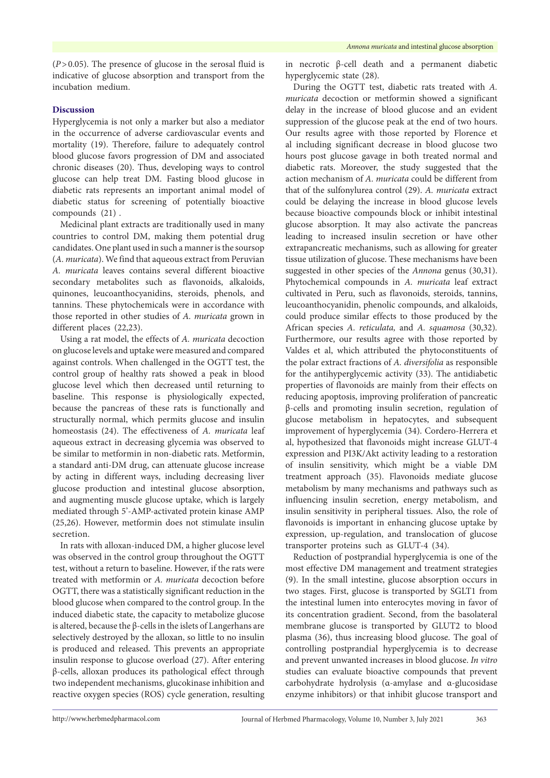(*P*>0.05). The presence of glucose in the serosal fluid is indicative of glucose absorption and transport from the incubation medium.

# **Discussion**

Hyperglycemia is not only a marker but also a mediator in the occurrence of adverse cardiovascular events and mortality (19). Therefore, failure to adequately control blood glucose favors progression of DM and associated chronic diseases (20). Thus, developing ways to control glucose can help treat DM. Fasting blood glucose in diabetic rats represents an important animal model of diabetic status for screening of potentially bioactive compounds (21) .

Medicinal plant extracts are traditionally used in many countries to control DM, making them potential drug candidates. One plant used in such a manner is the soursop (*A. muricata*). We find that aqueous extract from Peruvian *A. muricata* leaves contains several different bioactive secondary metabolites such as flavonoids, alkaloids, quinones, leucoanthocyanidins, steroids, phenols, and tannins. These phytochemicals were in accordance with those reported in other studies of *A. muricata* grown in different places (22,23).

Using a rat model, the effects of *A. muricata* decoction on glucose levels and uptake were measured and compared against controls. When challenged in the OGTT test, the control group of healthy rats showed a peak in blood glucose level which then decreased until returning to baseline. This response is physiologically expected, because the pancreas of these rats is functionally and structurally normal, which permits glucose and insulin homeostasis (24). The effectiveness of *A. muricata* leaf aqueous extract in decreasing glycemia was observed to be similar to metformin in non-diabetic rats. Metformin, a standard anti-DM drug, can attenuate glucose increase by acting in different ways, including decreasing liver glucose production and intestinal glucose absorption, and augmenting muscle glucose uptake, which is largely mediated through 5'-AMP-activated protein kinase AMP (25,26). However, metformin does not stimulate insulin secretion.

In rats with alloxan-induced DM, a higher glucose level was observed in the control group throughout the OGTT test, without a return to baseline. However, if the rats were treated with metformin or *A. muricata* decoction before OGTT, there was a statistically significant reduction in the blood glucose when compared to the control group. In the induced diabetic state, the capacity to metabolize glucose is altered, because the β-cells in the islets of Langerhans are selectively destroyed by the alloxan, so little to no insulin is produced and released. This prevents an appropriate insulin response to glucose overload (27). After entering β-cells, alloxan produces its pathological effect through two independent mechanisms, glucokinase inhibition and reactive oxygen species (ROS) cycle generation, resulting

in necrotic β-cell death and a permanent diabetic hyperglycemic state (28).

During the OGTT test, diabetic rats treated with *A. muricata* decoction or metformin showed a significant delay in the increase of blood glucose and an evident suppression of the glucose peak at the end of two hours. Our results agree with those reported by Florence et al including significant decrease in blood glucose two hours post glucose gavage in both treated normal and diabetic rats. Moreover, the study suggested that the action mechanism of *A. muricata* could be different from that of the sulfonylurea control (29). *A. muricata* extract could be delaying the increase in blood glucose levels because bioactive compounds block or inhibit intestinal glucose absorption. It may also activate the pancreas leading to increased insulin secretion or have other extrapancreatic mechanisms, such as allowing for greater tissue utilization of glucose. These mechanisms have been suggested in other species of the *Annona* genus (30,31). Phytochemical compounds in *A. muricata* leaf extract cultivated in Peru, such as flavonoids, steroids, tannins, leucoanthocyanidin, phenolic compounds, and alkaloids, could produce similar effects to those produced by the African species *A. reticulata,* and *A. squamosa* (30,32)*.* Furthermore, our results agree with those reported by Valdes et al, which attributed the phytoconstituents of the polar extract fractions of *A. diversifolia* as responsible for the antihyperglycemic activity (33). The antidiabetic properties of flavonoids are mainly from their effects on reducing apoptosis, improving proliferation of pancreatic β-cells and promoting insulin secretion, regulation of glucose metabolism in hepatocytes, and subsequent improvement of hyperglycemia (34). Cordero-Herrera et al, hypothesized that flavonoids might increase GLUT-4 expression and PI3K/Akt activity leading to a restoration of insulin sensitivity, which might be a viable DM treatment approach (35). Flavonoids mediate glucose metabolism by many mechanisms and pathways such as influencing insulin secretion, energy metabolism, and insulin sensitivity in peripheral tissues. Also, the role of flavonoids is important in enhancing glucose uptake by expression, up-regulation, and translocation of glucose transporter proteins such as GLUT-4 (34).

Reduction of postprandial hyperglycemia is one of the most effective DM management and treatment strategies (9). In the small intestine, glucose absorption occurs in two stages. First, glucose is transported by SGLT1 from the intestinal lumen into enterocytes moving in favor of its concentration gradient. Second, from the basolateral membrane glucose is transported by GLUT2 to blood plasma (36), thus increasing blood glucose. The goal of controlling postprandial hyperglycemia is to decrease and prevent unwanted increases in blood glucose. *In vitro* studies can evaluate bioactive compounds that prevent carbohydrate hydrolysis (α-amylase and α-glucosidase enzyme inhibitors) or that inhibit glucose transport and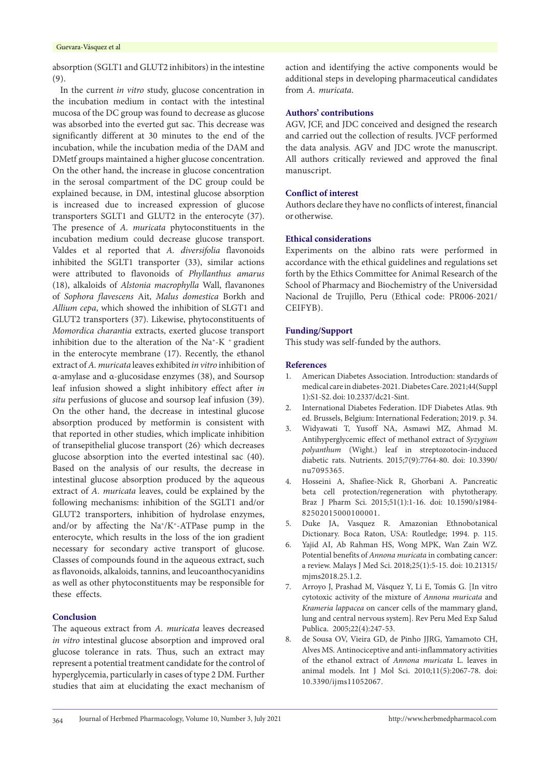absorption (SGLT1 and GLUT2 inhibitors) in the intestine (9).

In the current *in vitro* study, glucose concentration in the incubation medium in contact with the intestinal mucosa of the DC group was found to decrease as glucose was absorbed into the everted gut sac. This decrease was significantly different at 30 minutes to the end of the incubation, while the incubation media of the DAM and DMetf groups maintained a higher glucose concentration. On the other hand, the increase in glucose concentration in the serosal compartment of the DC group could be explained because, in DM, intestinal glucose absorption is increased due to increased expression of glucose transporters SGLT1 and GLUT2 in the enterocyte (37). The presence of *A. muricata* phytoconstituents in the incubation medium could decrease glucose transport. Valdes et al reported that *A. diversifolia* flavonoids inhibited the SGLT1 transporter (33), similar actions were attributed to flavonoids of *Phyllanthus amarus* (18), alkaloids of *Alstonia macrophylla* Wall, flavanones of *Sophora flavescens* Ait, *Malus domestica* Borkh and *Allium cepa*, which showed the inhibition of SLGT1 and GLUT2 transporters (37). Likewise, phytoconstituents of *Momordica charantia* extracts, exerted glucose transport inhibition due to the alteration of the  $Na^+ - K^+$  gradient in the enterocyte membrane (17). Recently, the ethanol extract of *A. muricata* leaves exhibited *in vitro* inhibition of α-amylase and α-glucosidase enzymes (38), and Soursop leaf infusion showed a slight inhibitory effect after *in situ* perfusions of glucose and soursop leaf infusion (39). On the other hand, the decrease in intestinal glucose absorption produced by metformin is consistent with that reported in other studies, which implicate inhibition of transepithelial glucose transport (26) which decreases glucose absorption into the everted intestinal sac (40). Based on the analysis of our results, the decrease in intestinal glucose absorption produced by the aqueous extract of *A. muricata* leaves, could be explained by the following mechanisms: inhibition of the SGLT1 and/or GLUT2 transporters, inhibition of hydrolase enzymes, and/or by affecting the  $Na^+/K^+$ -ATPase pump in the enterocyte, which results in the loss of the ion gradient necessary for secondary active transport of glucose. Classes of compounds found in the aqueous extract, such as flavonoids, alkaloids, tannins, and leucoanthocyanidins as well as other phytoconstituents may be responsible for these effects.

# **Conclusion**

The aqueous extract from *A. muricata* leaves decreased *in vitro* intestinal glucose absorption and improved oral glucose tolerance in rats. Thus, such an extract may represent a potential treatment candidate for the control of hyperglycemia, particularly in cases of type 2 DM. Further studies that aim at elucidating the exact mechanism of action and identifying the active components would be additional steps in developing pharmaceutical candidates from *A. muricata*.

# **Authors' contributions**

AGV, JCF, and JDC conceived and designed the research and carried out the collection of results. JVCF performed the data analysis. AGV and JDC wrote the manuscript. All authors critically reviewed and approved the final manuscript.

#### **Conflict of interest**

Authors declare they have no conflicts of interest, financial or otherwise.

# **Ethical considerations**

Experiments on the albino rats were performed in accordance with the ethical guidelines and regulations set forth by the Ethics Committee for Animal Research of the School of Pharmacy and Biochemistry of the Universidad Nacional de Trujillo, Peru (Ethical code: PR006-2021/ CEIFYB).

### **Funding/Support**

This study was self-funded by the authors.

#### **References**

- 1. American Diabetes Association. Introduction: standards of medical care in diabetes-2021. Diabetes Care. 2021;44(Suppl 1):S1-S2. doi: 10.2337/dc21-Sint.
- 2. International Diabetes Federation. IDF Diabetes Atlas. 9th ed. Brussels, Belgium: International Federation; 2019. p. 34.
- 3. Widyawati T, Yusoff NA, Asmawi MZ, Ahmad M. Antihyperglycemic effect of methanol extract of *Syzygium polyanthum* (Wight.) leaf in streptozotocin-induced diabetic rats. Nutrients. 2015;7(9):7764-80. doi: 10.3390/ nu7095365.
- 4. Hosseini A, Shafiee-Nick R, Ghorbani A. Pancreatic beta cell protection/regeneration with phytotherapy. Braz J Pharm Sci. 2015;51(1):1-16. doi: 10.1590/s1984- 82502015000100001.
- 5. Duke JA, Vasquez R. Amazonian Ethnobotanical Dictionary. Boca Raton, USA: Routledge; 1994. p. 115.
- 6. Yajid AI, Ab Rahman HS, Wong MPK, Wan Zain WZ. Potential benefits of *Annona muricata* in combating cancer: a review. Malays J Med Sci. 2018;25(1):5-15. doi: 10.21315/ mjms2018.25.1.2.
- 7. Arroyo J, Prashad M, Vásquez Y, Li E, Tomás G. [In vitro cytotoxic activity of the mixture of *Annona muricata* and *Krameria lappacea* on cancer cells of the mammary gland, lung and central nervous system]. Rev Peru Med Exp Salud Publica. 2005;22(4):247-53.
- 8. de Sousa OV, Vieira GD, de Pinho JJRG, Yamamoto CH, Alves MS. Antinociceptive and anti-inflammatory activities of the ethanol extract of *Annona muricata* L. leaves in animal models. Int J Mol Sci. 2010;11(5):2067-78. doi: 10.3390/ijms11052067.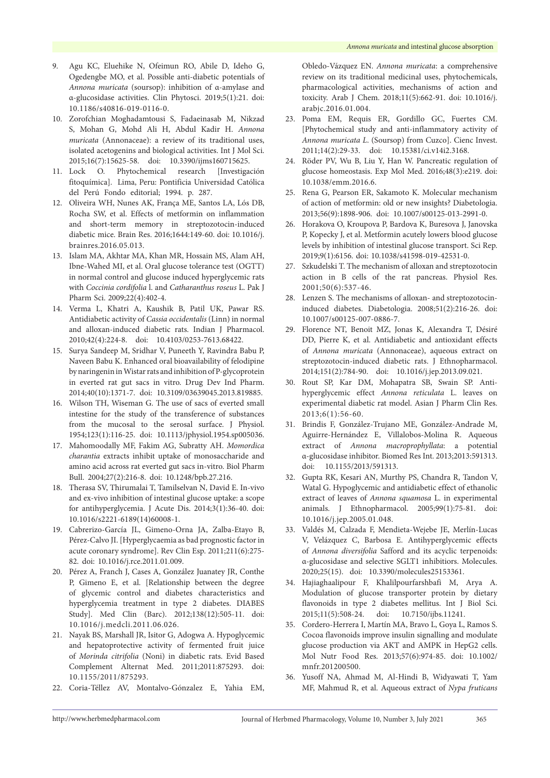- 9. Agu KC, Eluehike N, Ofeimun RO, Abile D, Ideho G, Ogedengbe MO, et al. Possible anti-diabetic potentials of *Annona muricata* (soursop): inhibition of α-amylase and α-glucosidase activities. Clin Phytosci. 2019;5(1):21. doi: 10.1186/s40816-019-0116-0.
- 10. Zorofchian Moghadamtousi S, Fadaeinasab M, Nikzad S, Mohan G, Mohd Ali H, Abdul Kadir H. *Annona muricata* (Annonaceae): a review of its traditional uses, isolated acetogenins and biological activities. Int J Mol Sci. 2015;16(7):15625-58. doi: 10.3390/ijms160715625.
- 11. Lock O. Phytochemical research [Investigación fitoquímica]. Lima, Peru: Pontificia Universidad Católica del Perú Fondo editorial; 1994. p. 287.
- 12. Oliveira WH, Nunes AK, França ME, Santos LA, Lós DB, Rocha SW, et al. Effects of metformin on inflammation and short-term memory in streptozotocin-induced diabetic mice. Brain Res. 2016;1644:149-60. doi: 10.1016/j. brainres.2016.05.013.
- 13. Islam MA, Akhtar MA, Khan MR, Hossain MS, Alam AH, Ibne-Wahed MI, et al. Oral glucose tolerance test (OGTT) in normal control and glucose induced hyperglycemic rats with *Coccinia cordifolia* l. and *Catharanthus roseus* L. Pak J Pharm Sci. 2009;22(4):402-4.
- 14. Verma L, Khatri A, Kaushik B, Patil UK, Pawar RS. Antidiabetic activity of *Cassia occidentalis* (Linn) in normal and alloxan-induced diabetic rats. Indian J Pharmacol. 2010;42(4):224-8. doi: 10.4103/0253-7613.68422.
- 15. Surya Sandeep M, Sridhar V, Puneeth Y, Ravindra Babu P, Naveen Babu K. Enhanced oral bioavailability of felodipine by naringenin in Wistar rats and inhibition of P-glycoprotein in everted rat gut sacs in vitro. Drug Dev Ind Pharm. 2014;40(10):1371-7. doi: 10.3109/03639045.2013.819885.
- 16. Wilson TH, Wiseman G. The use of sacs of everted small intestine for the study of the transference of substances from the mucosal to the serosal surface. J Physiol. 1954;123(1):116-25. doi: 10.1113/jphysiol.1954.sp005036.
- 17. Mahomoodally MF, Fakim AG, Subratty AH. *Momordica charantia* extracts inhibit uptake of monosaccharide and amino acid across rat everted gut sacs in-vitro. Biol Pharm Bull. 2004;27(2):216-8. doi: 10.1248/bpb.27.216.
- 18. Therasa SV, Thirumalai T, Tamilselvan N, David E. In-vivo and ex-vivo inhibition of intestinal glucose uptake: a scope for antihyperglycemia. J Acute Dis. 2014;3(1):36-40. doi: 10.1016/s2221-6189(14)60008-1.
- 19. Cabrerizo-García JL, Gimeno-Orna JA, Zalba-Etayo B, Pérez-Calvo JI. [Hyperglycaemia as bad prognostic factor in acute coronary syndrome]. Rev Clin Esp. 2011;211(6):275- 82. doi: 10.1016/j.rce.2011.01.009.
- 20. Pérez A, Franch J, Cases A, González Juanatey JR, Conthe P, Gimeno E, et al. [Relationship between the degree of glycemic control and diabetes characteristics and hyperglycemia treatment in type 2 diabetes. DIABES Study]. Med Clin (Barc). 2012;138(12):505-11. doi: 10.1016/j.medcli.2011.06.026.
- 21. Nayak BS, Marshall JR, Isitor G, Adogwa A. Hypoglycemic and hepatoprotective activity of fermented fruit juice of *Morinda citrifolia* (Noni) in diabetic rats. Evid Based Complement Alternat Med. 2011;2011:875293. doi: 10.1155/2011/875293.
- 22. Coria-Téllez AV, Montalvo-Gónzalez E, Yahia EM,

Obledo-Vázquez EN. *Annona muricata*: a comprehensive review on its traditional medicinal uses, phytochemicals, pharmacological activities, mechanisms of action and toxicity. Arab J Chem. 2018;11(5):662-91. doi: 10.1016/j. arabjc.2016.01.004.

- 23. Poma EM, Requis ER, Gordillo GC, Fuertes CM. [Phytochemical study and anti-inflammatory activity of *Annona muricata L*. (Soursop) from Cuzco]. Cienc Invest. 2011;14(2):29-33. doi: 10.15381/ci.v14i2.3168.
- 24. Röder PV, Wu B, Liu Y, Han W. Pancreatic regulation of glucose homeostasis. Exp Mol Med. 2016;48(3):e219. doi: 10.1038/emm.2016.6.
- 25. Rena G, Pearson ER, Sakamoto K. Molecular mechanism of action of metformin: old or new insights? Diabetologia. 2013;56(9):1898-906. doi: 10.1007/s00125-013-2991-0.
- 26. Horakova O, Kroupova P, Bardova K, Buresova J, Janovska P, Kopecky J, et al. Metformin acutely lowers blood glucose levels by inhibition of intestinal glucose transport. Sci Rep. 2019;9(1):6156. doi: 10.1038/s41598-019-42531-0.
- 27. Szkudelski T. The mechanism of alloxan and streptozotocin action in B cells of the rat pancreas. Physiol Res. 2001;50(6):537-46.
- 28. Lenzen S. The mechanisms of alloxan- and streptozotocininduced diabetes. Diabetologia. 2008;51(2):216-26. doi: 10.1007/s00125-007-0886-7.
- 29. Florence NT, Benoit MZ, Jonas K, Alexandra T, Désiré DD, Pierre K, et al. Antidiabetic and antioxidant effects of *Annona muricata* (Annonaceae), aqueous extract on streptozotocin-induced diabetic rats. J Ethnopharmacol. 2014;151(2):784-90. doi: 10.1016/j.jep.2013.09.021.
- 30. Rout SP, Kar DM, Mohapatra SB, Swain SP. Antihyperglycemic effect *Annona reticulata* L. leaves on experimental diabetic rat model. Asian J Pharm Clin Res. 2013;6(1):56-60.
- 31. Brindis F, González-Trujano ME, González-Andrade M, Aguirre-Hernández E, Villalobos-Molina R. Aqueous extract of *Annona macroprophyllata*: a potential α-glucosidase inhibitor. Biomed Res Int. 2013;2013:591313. doi: 10.1155/2013/591313.
- 32. Gupta RK, Kesari AN, Murthy PS, Chandra R, Tandon V, Watal G. Hypoglycemic and antidiabetic effect of ethanolic extract of leaves of *Annona squamosa* L. in experimental animals. J Ethnopharmacol. 2005;99(1):75-81. doi: 10.1016/j.jep.2005.01.048.
- 33. Valdés M, Calzada F, Mendieta-Wejebe JE, Merlín-Lucas V, Velázquez C, Barbosa E. Antihyperglycemic effects of *Annona diversifolia* Safford and its acyclic terpenoids: α-glucosidase and selective SGLT1 inhibitiors. Molecules. 2020;25(15). doi: 10.3390/molecules25153361.
- 34. Hajiaghaalipour F, Khalilpourfarshbafi M, Arya A. Modulation of glucose transporter protein by dietary flavonoids in type 2 diabetes mellitus. Int J Biol Sci. 2015;11(5):508-24. doi: 10.7150/ijbs.11241.
- 35. Cordero-Herrera I, Martín MA, Bravo L, Goya L, Ramos S. Cocoa flavonoids improve insulin signalling and modulate glucose production via AKT and AMPK in HepG2 cells. Mol Nutr Food Res. 2013;57(6):974-85. doi: 10.1002/ mnfr.201200500.
- 36. Yusoff NA, Ahmad M, Al-Hindi B, Widyawati T, Yam MF, Mahmud R, et al. Aqueous extract of *Nypa fruticans*